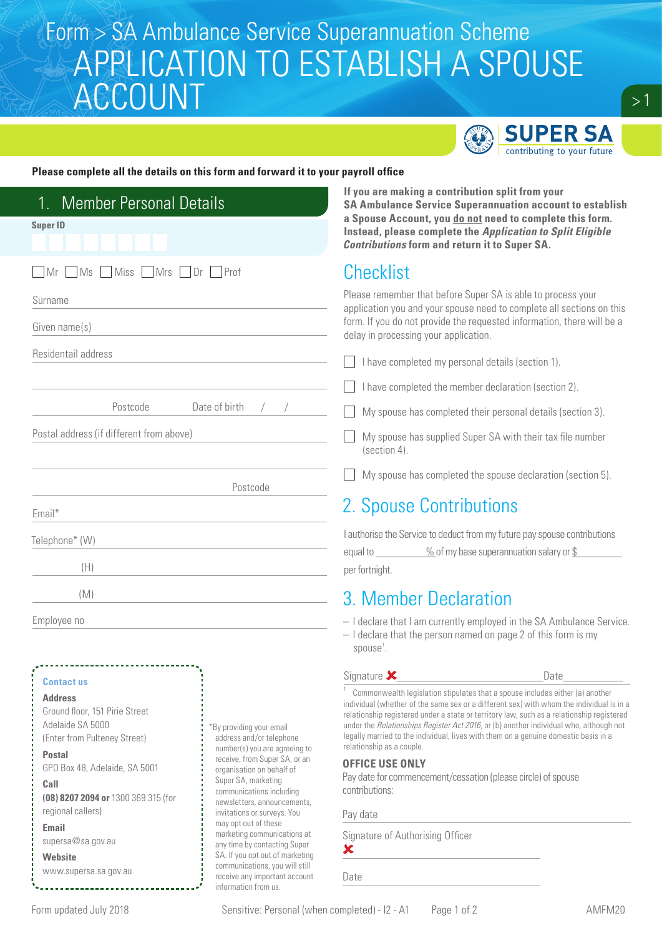## Form > SA Ambulance Service Superannuation Scheme APPLICATION TO ESTABLISH A SPOUSE **ACCOUNT**



### **Please complete all the details on this form and forward it to your payroll office**

| <b>Member Personal Details</b><br>1.<br><b>Super ID</b>                                                                                                                     |                                                                                                                                                                                                                                                                                                                                                                                                | If you are making a contribution split from your<br><b>SA Ambulance Service Superannuation account to establish</b><br>a Spouse Account, you do not need to complete this form.<br>Instead, please complete the Application to Split Eligible<br><b>Contributions form and return it to Super SA.</b>                                                                                                                                                                                                                                                                                             |  |  |  |
|-----------------------------------------------------------------------------------------------------------------------------------------------------------------------------|------------------------------------------------------------------------------------------------------------------------------------------------------------------------------------------------------------------------------------------------------------------------------------------------------------------------------------------------------------------------------------------------|---------------------------------------------------------------------------------------------------------------------------------------------------------------------------------------------------------------------------------------------------------------------------------------------------------------------------------------------------------------------------------------------------------------------------------------------------------------------------------------------------------------------------------------------------------------------------------------------------|--|--|--|
| Ms Miss Mrs Dr<br>  Mr                                                                                                                                                      | Prof                                                                                                                                                                                                                                                                                                                                                                                           | <b>Checklist</b><br>Please remember that before Super SA is able to process your<br>application you and your spouse need to complete all sections on this<br>form. If you do not provide the requested information, there will be a<br>delay in processing your application.<br>I have completed my personal details (section 1).                                                                                                                                                                                                                                                                 |  |  |  |
| Surname<br>Given name(s)                                                                                                                                                    |                                                                                                                                                                                                                                                                                                                                                                                                |                                                                                                                                                                                                                                                                                                                                                                                                                                                                                                                                                                                                   |  |  |  |
| Residentail address                                                                                                                                                         |                                                                                                                                                                                                                                                                                                                                                                                                |                                                                                                                                                                                                                                                                                                                                                                                                                                                                                                                                                                                                   |  |  |  |
|                                                                                                                                                                             |                                                                                                                                                                                                                                                                                                                                                                                                | I have completed the member declaration (section 2).                                                                                                                                                                                                                                                                                                                                                                                                                                                                                                                                              |  |  |  |
| Postcode                                                                                                                                                                    | Date of birth                                                                                                                                                                                                                                                                                                                                                                                  | My spouse has completed their personal details (section 3).<br>My spouse has supplied Super SA with their tax file number<br>(section 4).                                                                                                                                                                                                                                                                                                                                                                                                                                                         |  |  |  |
| Postal address (if different from above)                                                                                                                                    |                                                                                                                                                                                                                                                                                                                                                                                                |                                                                                                                                                                                                                                                                                                                                                                                                                                                                                                                                                                                                   |  |  |  |
|                                                                                                                                                                             | Postcode                                                                                                                                                                                                                                                                                                                                                                                       | My spouse has completed the spouse declaration (section 5).                                                                                                                                                                                                                                                                                                                                                                                                                                                                                                                                       |  |  |  |
| Email*                                                                                                                                                                      |                                                                                                                                                                                                                                                                                                                                                                                                | 2. Spouse Contributions                                                                                                                                                                                                                                                                                                                                                                                                                                                                                                                                                                           |  |  |  |
| Telephone* (W)<br>(H)                                                                                                                                                       |                                                                                                                                                                                                                                                                                                                                                                                                | I authorise the Service to deduct from my future pay spouse contributions<br>equal to $\frac{\%}{\%}$ of my base superannuation salary or $\frac{\$}{\%}$<br>per fortnight.                                                                                                                                                                                                                                                                                                                                                                                                                       |  |  |  |
| (M)                                                                                                                                                                         |                                                                                                                                                                                                                                                                                                                                                                                                | 3. Member Declaration                                                                                                                                                                                                                                                                                                                                                                                                                                                                                                                                                                             |  |  |  |
| Employee no                                                                                                                                                                 |                                                                                                                                                                                                                                                                                                                                                                                                | - I declare that I am currently employed in the SA Ambulance Service.<br>$-$ I declare that the person named on page 2 of this form is my<br>spouse <sup>1</sup> .                                                                                                                                                                                                                                                                                                                                                                                                                                |  |  |  |
|                                                                                                                                                                             |                                                                                                                                                                                                                                                                                                                                                                                                | Signature $\mathbf{\times}$<br>Date                                                                                                                                                                                                                                                                                                                                                                                                                                                                                                                                                               |  |  |  |
| <b>Contact us</b><br><b>Address</b><br>Ground floor, 151 Pirie Street<br>Adelaide SA 5000<br>(Enter from Pulteney Street)<br><b>Postal</b><br>GPO Box 48, Adelaide, SA 5001 | *By providing your email<br>address and/or telephone<br>number(s) you are agreeing to<br>receive, from Super SA, or an<br>organisation on behalf of<br>Super SA, marketing<br>communications including<br>newsletters, announcements,<br>invitations or surveys. You<br>may opt out of these<br>marketing communications at<br>any time by contacting Super<br>SA. If you opt out of marketing | Commonwealth legislation stipulates that a spouse includes either (a) another<br>individual (whether of the same sex or a different sex) with whom the individual is in a<br>relationship registered under a state or territory law, such as a relationship registered<br>under the Relationships Register Act 2016, or (b) another individual who, although not<br>legally married to the individual, lives with them on a genuine domestic basis in a<br>relationship as a couple.<br><b>OFFICE USE ONLY</b><br>Pay date for commencement/cessation (please circle) of spouse<br>contributions: |  |  |  |
| Call<br>(08) 8207 2094 or 1300 369 315 (for<br>regional callers)                                                                                                            |                                                                                                                                                                                                                                                                                                                                                                                                |                                                                                                                                                                                                                                                                                                                                                                                                                                                                                                                                                                                                   |  |  |  |
| Email                                                                                                                                                                       |                                                                                                                                                                                                                                                                                                                                                                                                | Pay date                                                                                                                                                                                                                                                                                                                                                                                                                                                                                                                                                                                          |  |  |  |
| supersa@sa.gov.au<br><b>Website</b>                                                                                                                                         |                                                                                                                                                                                                                                                                                                                                                                                                | Signature of Authorising Officer<br>×                                                                                                                                                                                                                                                                                                                                                                                                                                                                                                                                                             |  |  |  |

www.supersa.sa.gov.au

SA. If you opt out of marketing communications, you will still receive any important account information from us.

Form updated July 2018 Sensitive: Personal (when completed) - I2 - A1 Page 1 of 2 AMFM20

Date